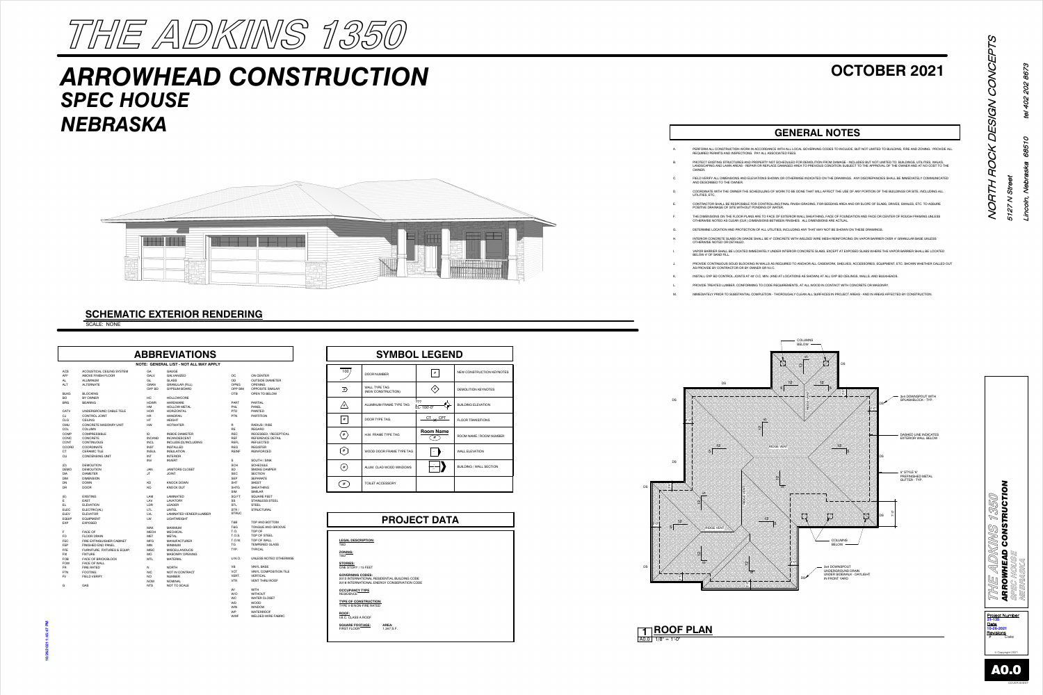#### **PROJECT DATA**

#### **GENERAL NOTES**

RUCTION WORK IN ACCORDANCE WITH ALL LOCAL GOVERNING CODES TO INCLUDE, BUT NOT LIMITED TO BUILDING, FIRE AND ZONING. PROVIDE ALL **ND INSPECTIONS. PAY ALL ASSOCIATED FEES.** TRUCTURES AND PROPERTY NOT SCHEDULED FOR DEMOLITION FROM DAMAGE - INCLUDES BUT NOT LIMITED TO: BUILDINGS, UTILITIES, WALKS,

.<br>NWN AREAS - REPAIR OR REPLACE DAMAGED AREA TO PREVIOUS CONDITION SUBJECT TO THE APPROVAL OF THE OWNER AND AT NO COST TO THE

| <b>SYMBOL LEGEND</b> |                                            |                                      |                                  |  |  |  |
|----------------------|--------------------------------------------|--------------------------------------|----------------------------------|--|--|--|
| 100                  | <b>DOOR NUMBER</b>                         | #                                    | <b>NEW CONSTRUCTION KEYNOTES</b> |  |  |  |
| #                    | <b>WALL TYPE TAG</b><br>(NEW CONSTRUCTION) |                                      | <b>DEMOLITION KEYNOTES</b>       |  |  |  |
|                      | ALUMINUM FRAME TYPE TAG                    | ???<br>EL-100'-0"                    | <b>BUILDING ELEVATION</b>        |  |  |  |
| #                    | <b>DOOR TYPE TAG</b>                       | $\frac{C\mathsf{T}}{\mathsf{X}}$ CPT | <b>FLOOR TRANSITIONS</b>         |  |  |  |
| #                    | H.M. FRAME TYPE TAG                        | <b>Room Name</b><br>#                | ROOM NAME / ROOM NUMBER          |  |  |  |
| #                    | WOOD DOOR FRAME TYPE TAG                   |                                      | <b>WALL ELEVATION</b>            |  |  |  |
| #                    | ALUM. CLAD WOOD WINDOWS                    |                                      | <b>BUILDING / WALL SECTION</b>   |  |  |  |
| #                    | <b>TOILET ACCESSORY</b>                    |                                      |                                  |  |  |  |

**TYPE OF CONSTRUCTION:** TYPE V-B NON-FIRE RATED

**ROOF:** I.B.C. CLASS A ROOF **SQUARE FOOTAGE: AREA:**

FIRST FLOOR

**AREA:**<br>1,347 S.F.



NORTH ROCK DESIGN CONCEPTS

飞

 $\Omega$ 

下

 $\mathfrak{C}$ 

**SV** 

<u>(V)</u>

 $\overline{G}$ 

VCEI



© Copyright 2021

5127 N Street

 $\mathfrak{g}_\mathfrak{S}$ 

COVER SHEET



## *ARROWHEAD CONSTRUCTION SPEC HOUSE NEBRASKA*



### **OCTOBER 2021**

#### **SCHEMATIC EXTERIOR RENDERING**

SCALE: NONE

|              |                              |               | <b>ABBREVIATIONS</b>                   |              |                              |                                 | <b>SYMBOL LEGEND</b>                                                                        |                     |            |
|--------------|------------------------------|---------------|----------------------------------------|--------------|------------------------------|---------------------------------|---------------------------------------------------------------------------------------------|---------------------|------------|
|              |                              |               | NOTE: GENERAL LIST - NOT ALL MAY APPLY |              |                              |                                 |                                                                                             |                     |            |
| <b>ACS</b>   | ACOUSTICAL CEILING SYSTEM    | GA            | <b>GAUGE</b>                           |              |                              | $\overline{\phantom{a}}$<br>100 |                                                                                             |                     | <b>NE</b>  |
| <b>AFF</b>   | ABOVE FINISH FLOOR           | <b>GALV</b>   | <b>GALVANIZED</b>                      | OC           | <b>ON CENTER</b>             |                                 | <b>DOOR NUMBER</b>                                                                          | $\#$                |            |
| AL.          | <b>ALUMINUM</b>              | GL            | <b>GLASS</b>                           | OD           | <b>OUTSIDE DIAMETER</b>      |                                 |                                                                                             |                     |            |
| <b>ALT</b>   | <b>ALTERNATE</b>             | <b>GRAN</b>   | <b>GRANULAR (FILL)</b>                 | OPNG         | <b>OPENING</b>               |                                 |                                                                                             |                     |            |
|              |                              | <b>GYP BD</b> | <b>GYPSUM BOARD</b>                    | OPP SIM      | <b>OPPOSITE SIMILAR</b>      | $\overrightarrow{f}$            | <b>WALL TYPE TAG</b>                                                                        | $\left<\ast\right>$ | <b>DEI</b> |
| <b>BLKG</b>  | <b>BLOCKING</b>              |               |                                        | <b>OTB</b>   | OPEN TO BELOW                |                                 | (NEW CONSTRUCTION)                                                                          |                     |            |
| BO.          | BY OWNER                     | HC            | <b>HOLLOWCORE</b>                      |              |                              |                                 |                                                                                             |                     |            |
| <b>BRG</b>   | <b>BEARING</b>               | <b>HDWR</b>   | <b>HARDWARE</b>                        | <b>PART</b>  | <b>PARTIAL</b>               |                                 |                                                                                             | ???                 |            |
|              |                              | HM            | <b>HOLLOW METAL</b>                    | <b>PNL</b>   | <b>PANEL</b>                 | $\sqrt{2^{n}}$                  | ALUMINUM FRAME TYPE TAG                                                                     | ♦<br>EL-100'-0"     | <b>BUI</b> |
| CATV         | UNDERGROUND CABLE TELE       | <b>HOR</b>    | <b>HORIZONTAL</b>                      | <b>PTD</b>   | PAINTED                      |                                 |                                                                                             |                     |            |
| CJ           | <b>CONTROL JOINT</b>         | HR            | <b>HANDRAIL</b>                        | <b>PTN</b>   | <b>PARTITION</b>             |                                 |                                                                                             |                     |            |
| CLG          | <b>CEILING</b>               | HT.           | <b>HEIGHT</b>                          |              |                              | #                               | <b>DOOR TYPE TAG</b>                                                                        | $\frac{CT}{X}$ CPT  | <b>FLC</b> |
| <b>CMU</b>   | <b>CONCRETE MASONRY UNIT</b> | HW            | <b>HOTWATER</b>                        | R            | RADIUS / RISE                |                                 |                                                                                             |                     |            |
| COL.         | <b>COLUMN</b>                |               |                                        | <b>RE</b>    | <b>REGARD</b>                |                                 |                                                                                             |                     |            |
| <b>COMP</b>  | <b>COMPRESSIBLE</b>          | ID            | <b>INSIDE DIAMETER</b>                 | <b>REC</b>   | <b>RECESSED / RECEPTICAL</b> | $\langle$ # $\rangle$           | H.M. FRAME TYPE TAG                                                                         | <b>Room Name</b>    |            |
| CONC         | <b>CONCRETE</b>              | <b>INCAND</b> | <b>INCANDESCENT</b>                    | <b>REF</b>   | <b>REFERENCE DETAIL</b>      |                                 |                                                                                             | #                   | <b>RO</b>  |
| <b>CONT</b>  | <b>CONTINUOUS</b>            | <b>INCL</b>   | INCLUDE(D)/INCLUDING                   | <b>REFL</b>  | <b>REFLECTED</b>             |                                 |                                                                                             |                     |            |
| COORD        | COORDINATE                   | <b>INST</b>   | <b>INSTALLED</b>                       | <b>REG</b>   | <b>REGISTER</b>              |                                 |                                                                                             |                     |            |
| СT           | <b>CERAMIC TILE</b>          | <b>INSUL</b>  | <b>INSULATION</b>                      | <b>REINF</b> | <b>REINFORCED</b>            | $[$ #                           | WOOD DOOR FRAME TYPE TAG                                                                    | $\sim$              | WA         |
| <b>CU</b>    | <b>CONDENSING UNIT</b>       | <b>INT</b>    | <b>INTERIOR</b>                        |              |                              |                                 |                                                                                             |                     |            |
|              |                              | INV           | <b>INVERT</b>                          | S            | SOUTH / SINK                 |                                 |                                                                                             |                     |            |
| (D)          | <b>DEMOLITION</b>            |               |                                        | SCH          | <b>SCHEDULE</b>              |                                 |                                                                                             |                     |            |
| <b>DEMO</b>  | <b>DEMOLITION</b>            | <b>JAN</b>    | <b>JANITORS CLOSET</b>                 | <b>SD</b>    | <b>SMOKE DAMPER</b>          | $($ # $)$                       | ALUM. CLAD WOOD WINDOWS                                                                     |                     | <b>BUI</b> |
| DIA          | <b>DIAMETER</b>              | JT            | <b>JOINT</b>                           | <b>SEC</b>   | <b>SECTION</b>               |                                 |                                                                                             |                     |            |
| <b>DIM</b>   | <b>DIMENSION</b>             |               |                                        | <b>SEP</b>   | <b>SEPARATE</b>              |                                 |                                                                                             |                     |            |
| DN           | <b>DOWN</b>                  | KD            | <b>KNOCK DOWN</b>                      | <b>SHT</b>   | <b>SHEET</b>                 | #                               | TOILET ACCESSORY                                                                            |                     |            |
| DR           | <b>DOOR</b>                  | KO            | <b>KNOCK OUT</b>                       | <b>SHTG</b>  | <b>SHEATHING</b>             |                                 |                                                                                             |                     |            |
|              |                              |               |                                        | SIM          | <b>SIMILAR</b>               |                                 |                                                                                             |                     |            |
| (E)          | <b>EXISTING</b>              | LAM           | <b>LAMINATED</b>                       | SQ FT        | <b>SQUARE FEET</b>           |                                 |                                                                                             |                     |            |
| E.           | <b>EAST</b>                  | LAV           | <b>LAVATORY</b>                        | SS           | <b>STAINLESS STEEL</b>       |                                 |                                                                                             |                     |            |
| EL           | <b>ELEVATION</b>             | LDR           | LEADER                                 | <b>STL</b>   | <b>STEEL</b>                 |                                 |                                                                                             |                     |            |
| <b>ELEC</b>  | ELECTRIC(AL)                 | LTL.          | <b>LINTEL</b>                          | STR/         | <b>STRUCTURAL</b>            |                                 |                                                                                             |                     |            |
| <b>ELEV</b>  | <b>ELEVATOR</b>              | <b>LVL</b>    | <b>LAMINATED VENEER LUMBER</b>         | <b>STRUC</b> |                              |                                 |                                                                                             |                     |            |
| <b>EQUIP</b> | <b>EQUIPMENT</b>             | LW            | <b>LIGHTWEIGHT</b>                     |              |                              |                                 |                                                                                             | <b>PROJECT DATA</b> |            |
| <b>EXP</b>   | <b>EXPOSED</b>               |               |                                        | T&B          | TOP AND BOTTOM               |                                 |                                                                                             |                     |            |
|              |                              | MAX           | <b>MAXIMUM</b>                         | T&G          | TONGUE AND GROOVE            |                                 |                                                                                             |                     |            |
| F            | <b>FACE OF</b>               | <b>MECH</b>   | <b>MECHICAL</b>                        | T.O.         | TOP OF                       |                                 |                                                                                             |                     |            |
| FD.          | <b>FLOOR DRAIN</b>           | MET           | <b>METAL</b>                           | T.O.S.       | TOP OF STEEL                 |                                 |                                                                                             |                     |            |
| <b>FEC</b>   | FIRE EXTINGUISHER CABINET    | MFG           | <b>MANUFACTURER</b>                    | T.O.W.       | TOP OF WALL                  | <b>LEGAL DESCRIPTION:</b>       |                                                                                             |                     |            |
| FEP          | <b>FINISHED END PANEL</b>    | MIN           | <b>MINIMUM</b>                         | TG           | <b>TEMPERED GLASS</b>        | <b>TBD</b>                      |                                                                                             |                     |            |
| <b>FFE</b>   | FURNITURE, FIXTURES & EQUIP. | <b>MISC</b>   | <b>MISCELLANOUOS</b>                   | TYP.         | <b>TYPICAL</b>               |                                 |                                                                                             |                     |            |
| <b>FIX</b>   | <b>FIXTURE</b>               | MO            | <b>MASONRY OPENING</b>                 |              |                              | <b>ZONING:</b><br><b>TBD</b>    |                                                                                             |                     |            |
| <b>FOB</b>   | FACE OF BRICK/BLOCK          | <b>MTL</b>    | <b>MATERIAL</b>                        | U.N.O.       | UNLESS NOTED OTHERWISE       |                                 |                                                                                             |                     |            |
| <b>FOW</b>   | <b>FACE OF WALL</b>          |               |                                        |              |                              | <b>STORIES:</b>                 |                                                                                             |                     |            |
| FR           | <b>FIRE RATED</b>            | N             | <b>NORTH</b>                           | VB           | <b>VINYL BASE</b>            | ONE STORY / 15 FEET             |                                                                                             |                     |            |
| FTN          | <b>FOOTING</b>               | <b>NIC</b>    | NOT IN CONTRACT                        | <b>VCT</b>   | VINYL COMPOSITION TILE       |                                 |                                                                                             |                     |            |
| FV           | <b>FIELD VERIFY</b>          | <b>NO</b>     | <b>NUMBER</b>                          | VERT.        | <b>VERTICAL</b>              | <b>GOVERNING CODES:</b>         |                                                                                             |                     |            |
|              |                              | <b>NOM</b>    | <b>NOMINAL</b>                         | <b>VTR</b>   | <b>VENT THRU ROOF</b>        |                                 | 2012 INTERNATIONAL RESIDENTIAL BUILDING CODE<br>2018 INTERNATIONAL ENERGY CONSERVATION CODE |                     |            |
| G            | GAS                          | <b>NTS</b>    | NOT TO SCALE                           |              |                              |                                 |                                                                                             |                     |            |
|              |                              |               |                                        | W/           | <b>WITH</b>                  | <b>OCCUPANCY TYPE</b>           |                                                                                             |                     |            |
|              |                              |               |                                        | W/O          | <b>WITHOUT</b>               | <b>RESIDENCE</b>                |                                                                                             |                     |            |
|              |                              |               |                                        | WC           | <b>WATER CLOSET</b>          |                                 |                                                                                             |                     |            |

WD WOOD WIN WINDOW WP WATERROOF

WWF WELDED WIRE FABRIC





S SOLID BLOCKING IN WALLS AS REQUIRED TO ANCHOR ALL CASEWORK, SHELVES, ACCESSORIES, EQUIPMENT, ETC. SHOWN WHETHER CALLED OUT

| Α.        | PERFORM ALL CONSTRUCTION WORK IN ACCORDANCE WITH ALL LOCAL GOVERNING CODES TO INCLUDE, BUT NOT LIMITED TO BUILDING, FIRE AND ZONING. PF<br>REQUIRED PERMITS AND INSPECTIONS. PAY ALL ASSOCIATED FEES.                                                                                        |
|-----------|----------------------------------------------------------------------------------------------------------------------------------------------------------------------------------------------------------------------------------------------------------------------------------------------|
| <b>B.</b> | PROTECT EXISTING STRUCTURES AND PROPERTY NOT SCHEDULED FOR DEMOLITION FROM DAMAGE - INCLUDES BUT NOT LIMITED TO: BUILDINGS, UTILITIES, WA<br>LANDSCAPING AND LAWN AREAS - REPAIR OR REPLACE DAMAGED AREA TO PREVIOUS CONDITION SUBJECT TO THE APPROVAL OF THE OWNER AND AT NO COST<br>OWNER. |
| C.        | FIELD VERIFY ALL DIMENSIONS AND ELEVATIONS SHOWN OR OTHERWISE INDICATED ON THE DRAWINGS. ANY DISCREPANCIES SHALL BE IMMEDIATELY COMMUI<br>AND DESCRIBED TO THE OWNER.                                                                                                                        |
| D.        | COORDINATE WITH THE OWNER THE SCHEDULING OF WORK TO BE DONE THAT WILL AFFECT THE USE OF ANY PORTION OF THE BUILDINGS OR SITE, INCLUDING<br>UTILITIES, ETC.                                                                                                                                   |
| Е.        | CONTRACTOR SHALL BE RESPOSIBLE FOR CONTROLLING FINAL FINISH GRADING. FOR SEEDING AREA AND OR SLOPE OF SLABS, DRIVES, SWALES, ETC, TO ASSU<br>POSITIVE DRAINAGE OF SITE WITHOUT PONDING OF WATER.                                                                                             |
| Е.        | THE DIMENSIONS ON THE FLOOR PLANS ARE TO FACE OF EXTERIOR WALL SHEATHING, FACE OF FOUNDATION AND FACE OR CENTER OF ROUGH FRAMING UNLE<br>OTHERWISE NOTED AS CLEAR (CLR.) DIMENSIONS BETWEEN FINISHES. ALL DIMENSIONS ARE ACTUAL.                                                             |
| G.        | DETERMINE LOCATION AND PROTECTION OF ALL UTILITIES, INCLUDING ANY THAT MAY NOT BE SHOWN ON THESE DRAWINGS.                                                                                                                                                                                   |
| Η.        | INTERIOR CONCRETE SLABS ON GRADE SHALL BE 4" CONCRETE WITH WELDED WIRE MESH REINFORCING ON VAPOR BARRIER OVER 4" GRANULAR BASE UNLESS<br>OTHERWISE NOTED OR DETAILED.                                                                                                                        |
| Ι.        | VAPOR BARRIER SHALL BE LOCATED IMMEDIATELY UNDER INTERIOR CONCRETE SLABS. EXCEPT AT EXPOSED SLABS WHERE THE VAPOR BARRIER SHALL BE LOC<br>BELOW 4" OF SAND FILL.                                                                                                                             |
| J.        | PROVIDE CONTINUOUS SOLID BLOCKING IN WALLS AS REQUIRED TO ANCHOR ALL CASEWORK, SHELVES, ACCESSORIES, EQUIPMENT, ETC, SHOWN WHETHER CA<br>AS PROVIDE BY CONTRACTOR OR BY OWNER OR N.I.C.                                                                                                      |
| Κ.        | INSTALL GYP BD CONTROL JOINTS AT 40' O.C. MIN. (AND AT LOCATIONS AS SHOWN) AT ALL GYP BD CEILINGS, WALLS, AND BULKHEADS.                                                                                                                                                                     |
| L.        | PROVIDE TREATED LUMBER, CONFORMING TO CODE REQUIREMENTS, AT ALL WOOD IN CONTACT WITH CONCRETE OR MASONRY.                                                                                                                                                                                    |

M. IMMEDIATELY PRIOR TO SUBSTANTIAL COMPLETION - THOROUGHLY CLEAN ALL SURFACES IN PROJECT AREAS - AND IN AREAS AFFECTED BY CONSTRUCTION.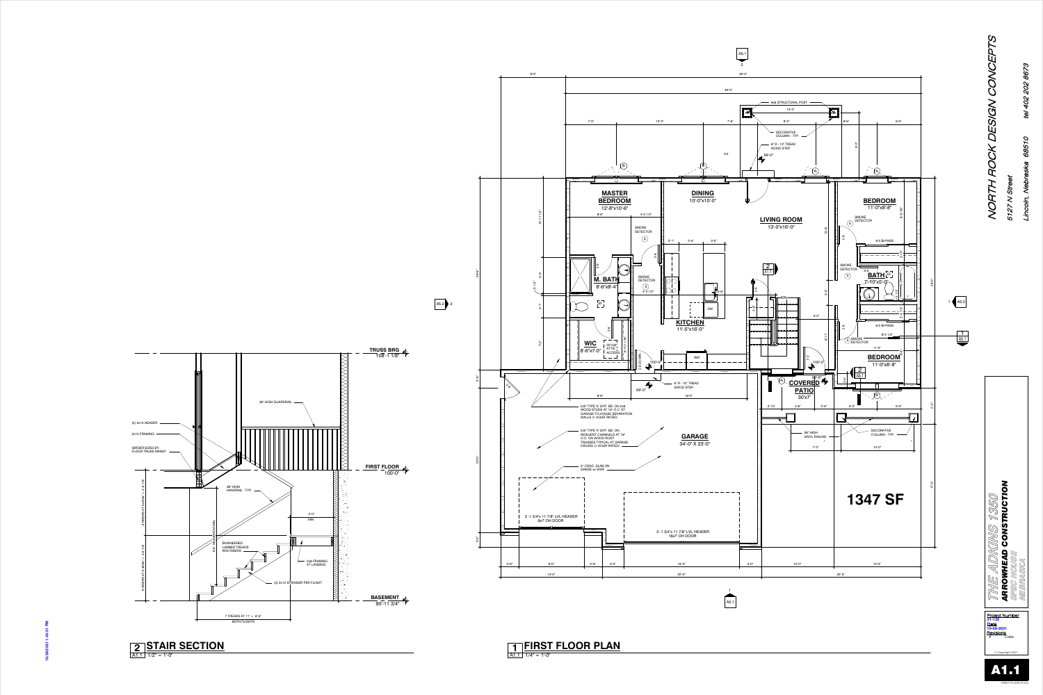![](_page_1_Figure_3.jpeg)

NORTH ROCK DESIGN CONCEPTS **ISCE** DESIGN  $\tilde{\mathcal{L}}$ HL. NOR<sup>"</sup> 5127

 $\mathcal{O}_{1}$ 

<u>Date</u> **Revisions**<br># Date <u>Project Number</u> © Copyright 2021 **21-135** A1.1

**KINS 1350<br>Construction** *ARROWHEAD CONSTRUCTION* THE ADKI<br>ARROWHEAD<br>SPEC HOUSE **SPEC HOUSE NEBRASKA**

**BASEMENT** 90'-11 3/4"

<span id="page-1-0"></span>![](_page_1_Figure_1.jpeg)

![](_page_1_Picture_5.jpeg)

Lincoln, Nebraska 68510 tel 402 202 8673

68510

oh,

402 202 8673

/Q

5127 N Street

 $\geq$ 

 $45$ 

FIRST FLOOR PLAN

**THE ADKINS 1350**

![](_page_1_Picture_0.jpeg)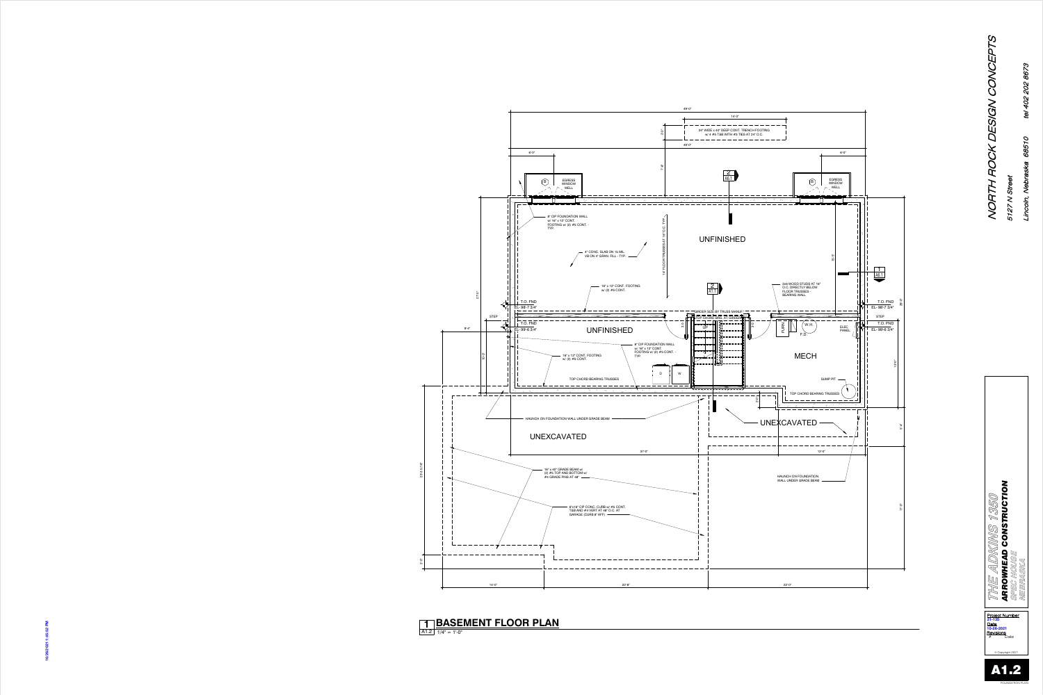![](_page_2_Figure_1.jpeg)

NORTH ROCK DESIGN CONCEPTS  $\Omega$ <u>N</u>  $\Gamma$  $\mathcal{T}$ NOR<sup>"</sup>

**1 BASEMENT FLOOK PLAN**<br> **10.26-2021**<br> **10.26-2021**<br> **10.26-2021**<br> **10.26-2021 1 BASEMENT FLOOR PLAN**

14'-0" ---------------24" WIDE x 40" DEEP CONT. TRENCH FOOTING w/ 4 #5 T&B WITH #3 TIES AT 24" O.C. 6'-0" 2 [A6.1](#page-5-0) EGRESS WINDOW B WELL  $\Lambda$   $\Lambda$ . \_ \_ \_ \_ \_ \_ \_ \_ \_ \_ 15'-5"  $\sqrt{1}$ <u>and</u> [A6.1](#page-5-0)  $\overline{\phantom{0}}$ 2x6 WOOD STUDS AT 16" O.C. DIRECTLY BELOW FLOOR TRUSSES - BEARING WALL 17'-0" 5'-17'-0" 5'-17'-0" 5'-17'-0" 5'-17'-0" 5'-17'-0" 5'-17'-0" 5'-17'-0" 5'-17'-0" 5'-17'-0" 5'-17'-0" 5'-<br>T T.O. FND EL- 98'-7 3/4"  $($  W.H. T.O. FND 0ო  $\Box$ EL- 99'-6 3/4" F.D.┆╠╺╸╾╺╶╺╺  $\frac{1}{2}$  H = = = = = = = MECH -0"<br>2' SUMP PIT TOP CHORD BEARING TRUSSES -<br>ดี \_\_\_\_\_\_\_\_\_\_ — — — — — — — — — — — -UNEXCAVATED - - - - - - - - - - - - -. \_ \_ \_ \_ \_ \_ \_ \_ \_ \_ \_ \_ ---------------------------- 12'-0" HAUNCH ON FOUNDATION WALL UNDER GRADE BEAM

Lincoln, Nebraska 68510 tel 402 202 8673

68510

oh,

8673

202

402

tel

5127 N Street

 $\geq$ 

5127

 $35$ 

![](_page_2_Picture_6.jpeg)

![](_page_2_Picture_7.jpeg)

A1.2 1/4" = 1'-0"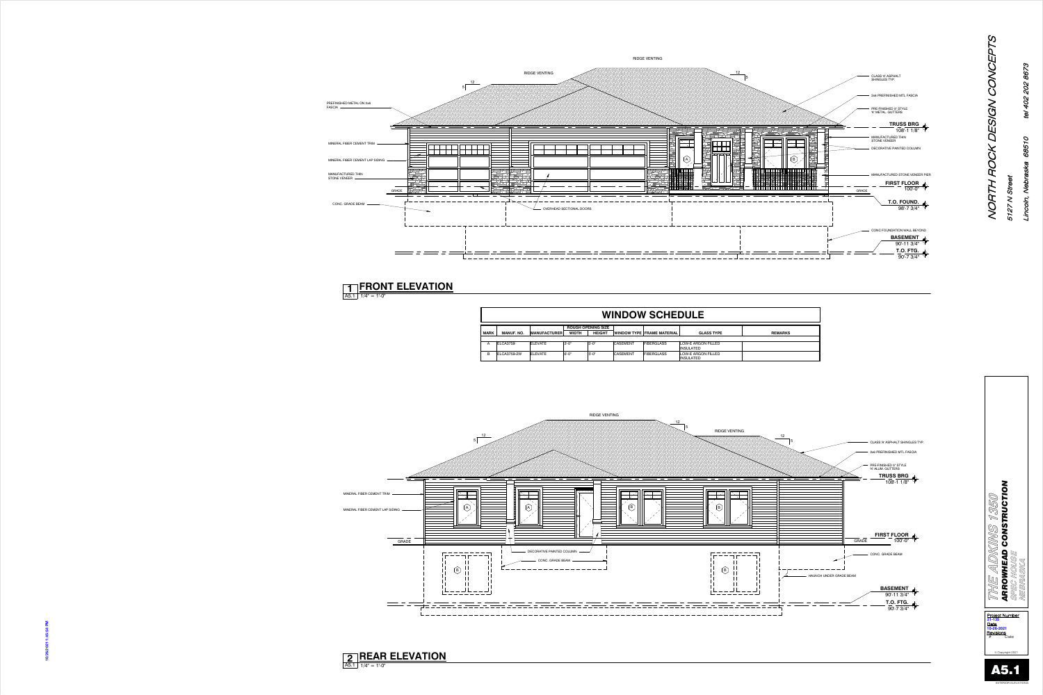RIDGE VENTING 125CLASS 'A' ASPHALT SHINGLES TYP. 2x6 PREFINISHED MTL FASCIA PRE-FINISHED 5" STYLE 'K' ALUM. GUTTERS **TRUSS BRG** 108'-1 1/8" *KINS 1350*<br>Construction *ARROWHEAD CONSTRUCTION* **THE ADKINS 1350 FIRST FLOOR** 100'-0" GRADE CONC. GRADE BEAM  $\sim$  1.1  $\,$ HAUNCH UNDER GRADE BEAM  $\sim$  1.1  $\,$  $\sim 1.1$  . **BASEMENT** 90'-11 3/4" ————————— **T.O. FTG.** 90'-7 3/4" **21-135 10-26-2021**<br> **10-26-2021**<br> **10-26-2021**<br> **10-25:54 PM 10-26-2021** <u>Date</u>

![](_page_3_Figure_16.jpeg)

Lincoln, Nebraska 68510 tel 402 202 8673 402 202 8673 ley 68510  $\tilde{\leq}$ oh,

MINERAL FIBER CEMENT TRIM

![](_page_3_Figure_12.jpeg)

CONC. GRADE BEAM

MINERAL FIBER CEMENT LAP SIDING

|             | <b>WINDOW SCHEDULE</b> |                      |              |                           |                 |                                   |                                        |                |
|-------------|------------------------|----------------------|--------------|---------------------------|-----------------|-----------------------------------|----------------------------------------|----------------|
|             |                        |                      |              | <b>ROUGH OPENING SIZE</b> |                 |                                   |                                        |                |
| <b>MARK</b> | <b>MANUF, NO.</b>      | <b>IMANUFACTURER</b> | <b>WIDTH</b> | <b>HEIGHT</b>             |                 | <b>WINDOW TYPE FRAME MATERIAL</b> | <b>GLASS TYPE</b>                      | <b>REMARKS</b> |
|             |                        |                      |              |                           |                 |                                   |                                        |                |
| A           | ELCA3759               | <b>ELEVATE</b>       | $3' - 0''$   | $5 - 0$ "                 | <b>CASEMENT</b> | <b>FIBERGLASS</b>                 | LOW-E ARGON FILLED<br><b>INSULATED</b> |                |
| B           | ELCA3759-2W            | <b>ELEVATE</b>       | 16'-0"       | $5 - 0$ "                 | <b>CASEMENT</b> | <b>FIBERGLASS</b>                 | LOW-E ARGON FILLED<br><b>INSULATED</b> |                |

<span id="page-3-0"></span>PREFINISHED METAL ON 2x6 FASCIA

MANUFACTURED THIN STONE VENEER

![](_page_3_Figure_19.jpeg)

© Copyright 2021

5127 N Street

 $\geq$ 

 $45$ 

![](_page_3_Picture_24.jpeg)

A5.1 1/4" = 1'-0"

#### **2 REAR ELEVATION**

A5.1 1/4" = 1'-0"

#### **1 FRONT ELEVATION**

![](_page_3_Picture_23.jpeg)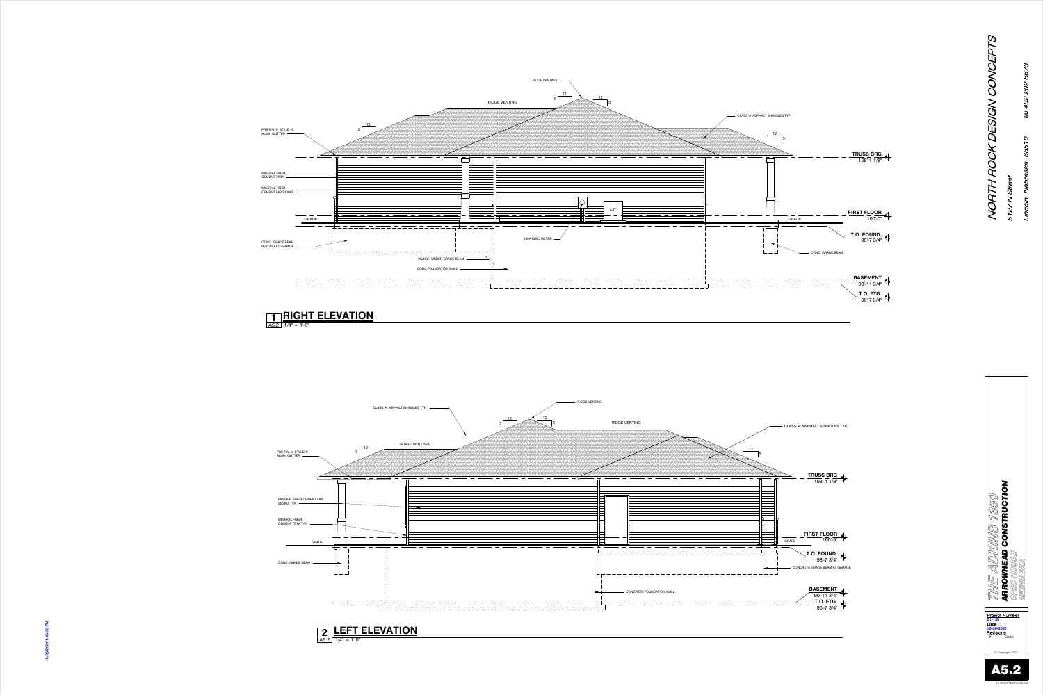<span id="page-4-0"></span>![](_page_4_Figure_0.jpeg)

NORTH ROCK DESIGN CONCEPTS  $\mathcal{T}$ NOR<sup>®</sup>

8673

5127 N Street 5127

 $35$ 

 $\geq$ 

![](_page_4_Figure_2.jpeg)

![](_page_4_Picture_9.jpeg)

EXTERIOR ELEVATIONS

![](_page_4_Picture_3.jpeg)

#### **2** LEFT ELEVATION **EXAMPLEMATION**

![](_page_4_Picture_8.jpeg)

![](_page_4_Figure_1.jpeg)